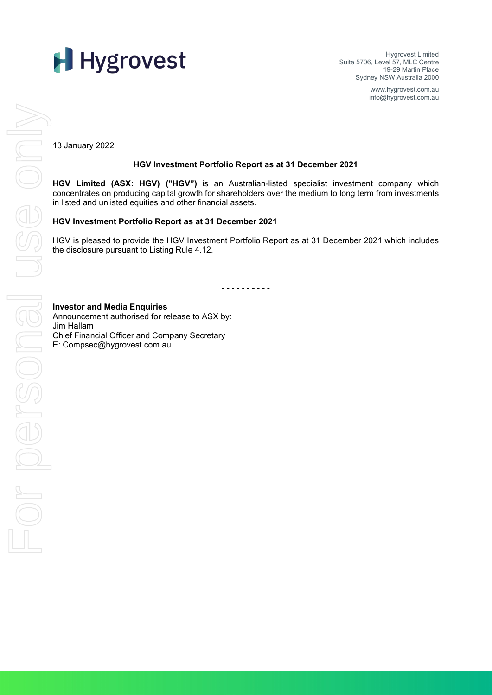Hygrovest Limited Suite 5706, Level 57, MLC Centre 19-29 Martin Place Sydney NSW Australia 2000

> www.hygrovest.com.au info@hygrovest.com.au

13 January 2022

#### **HGV Investment Portfolio Report as at 31 December 2021**

**HGV Limited (ASX: HGV) ("HGV")** is an Australian-listed specialist investment company which concentrates on producing capital growth for shareholders over the medium to long term from investments in listed and unlisted equities and other financial assets.

#### **HGV Investment Portfolio Report as at 31 December 2021**

HGV is pleased to provide the HGV Investment Portfolio Report as at 31 December 2021 which includes the disclosure pursuant to Listing Rule 4.12.

*- - - - - - - - - -*

Announcement authorised for release to ASX by: Jim Hallam Chief Financial Officer and Company Secretary E: Compsec@hygrovest.com.au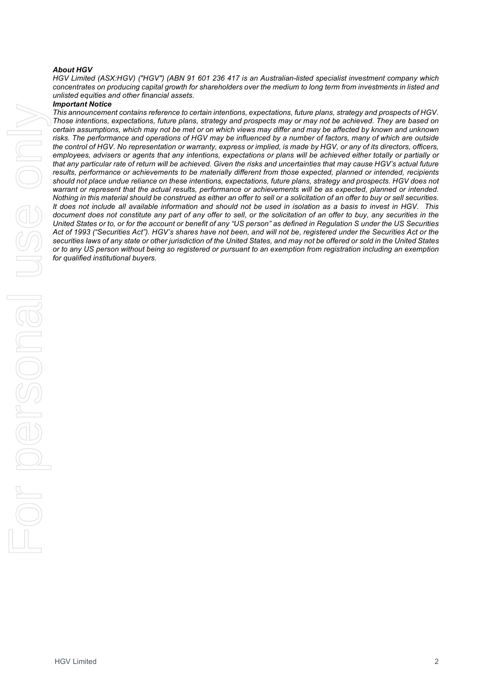#### *About HGV*

*HGV Limited (ASX:HGV) ("HGV") (ABN 91 601 236 417 is an Australian-listed specialist investment company which concentrates on producing capital growth for shareholders over the medium to long term from investments in listed and unlisted equities and other financial assets.*

#### *Important Notice*

*This announcement contains reference to certain intentions, expectations, future plans, strategy and prospects of HGV. Those intentions, expectations, future plans, strategy and prospects may or may not be achieved. They are based on*  certain assumptions, which may not be met or on which views may differ and may be affected by known and unknown *risks. The performance and operations of HGV may be influenced by a number of factors, many of which are outside the control of HGV. No representation or warranty, express or implied, is made by HGV, or any of its directors, officers,*  employees, advisers or agents that any intentions, expectations or plans will be achieved either totally or partially or *that any particular rate of return will be achieved. Given the risks and uncertainties that may cause HGV's actual future*  results, performance or achievements to be materially different from those expected, planned or intended, recipients *should not place undue reliance on these intentions, expectations, future plans, strategy and prospects. HGV does not warrant or represent that the actual results, performance or achievements will be as expected, planned or intended. Nothing in this material should be construed as either an offer to sell or a solicitation of an offer to buy or sell securities. It does not include all available information and should not be used in isolation as a basis to invest in HGV. This document does not constitute any part of any offer to sell, or the solicitation of an offer to buy, any securities in the United States or to, or for the account or benefit of any "US person" as defined in Regulation S under the US Securities Act of 1993 ("Securities Act"). HGV's shares have not been, and will not be, registered under the Securities Act or the securities laws of any state or other jurisdiction of the United States, and may not be offered or sold in the United States or to any US person without being so registered or pursuant to an exemption from registration including an exemption for qualified institutional buyers.*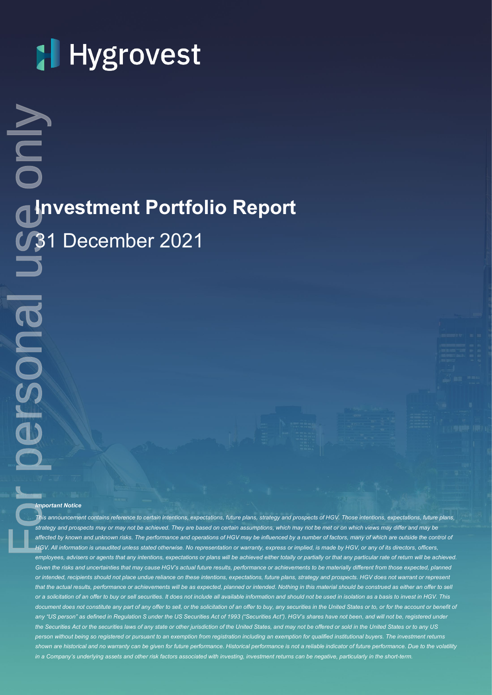**Investment Portfolio Report** 31 December 2021

#### *Important Notice*

*This announcement contains reference to certain intentions, expectations, future plans, strategy and prospects of HGV. Those intentions, expectations, future plans, strategy and prospects may or may not be achieved. They are based on certain assumptions, which may not be met or on which views may differ and may be*  affected by known and unknown risks. The performance and operations of HGV may be influenced by a number of factors, many of which are outside the control of *HGV. All information is unaudited unless stated otherwise. No representation or warranty, express or implied, is made by HGV, or any of its directors, officers,*  employees, advisers or agents that any intentions, expectations or plans will be achieved either totally or partially or that any particular rate of return will be achieved. *Given the risks and uncertainties that may cause HGV's actual future results, performance or achievements to be materially different from those expected, planned or intended, recipients should not place undue reliance on these intentions, expectations, future plans, strategy and prospects. HGV does not warrant or represent*  that the actual results, performance or achievements will be as expected, planned or intended. Nothing in this material should be construed as either an offer to sell *or a solicitation of an offer to buy or sell securities. It does not include all available information and should not be used in isolation as a basis to invest in HGV. This*  document does not constitute any part of any offer to sell, or the solicitation of an offer to buy, any securities in the United States or to, or for the account or benefit of any "US person" as defined in Regulation S under the US Securities Act of 1993 ("Securities Act"). HGV's shares have not been, and will not be, registered under *the Securities Act or the securities laws of any state or other jurisdiction of the United States, and may not be offered or sold in the United States or to any US person without being so registered or pursuant to an exemption from registration including an exemption for qualified institutional buyers. The investment returns shown are historical and no warranty can be given for future performance. Historical performance is not a reliable indicator of future performance. Due to the volatility*  **in a Company's underlying assets and other risk factors factors factors investment Portfolio Report**<br> **1981** December 2021<br> **1980** COLO USE ONLY IN THE SHORT-TERM. FOR PERSONAL USE ONLY 11:<br> **1980** COLO USE ONLY 11: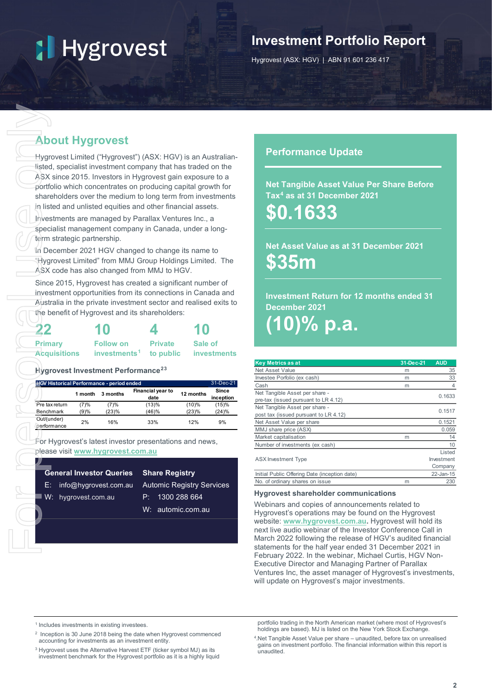## **Investment Portfolio Report**

Hygrovest (ASX: HGV) | ABN 91 601 236 417

### **About Hygrovest**

| 22                  | 10                                 |                | 10          |
|---------------------|------------------------------------|----------------|-------------|
| <b>Primary</b>      | <b>Follow on</b>                   | <b>Private</b> | Sale of     |
| <b>Acquisitions</b> | investments <sup>1</sup> to public |                | investments |

|                                       | <b>About Hygrovest</b>                    |                                              |                                                                                                                                                                                                                                                                                                                                                                                                                                                                                                                                                                                                                                                                          |                                |                    |
|---------------------------------------|-------------------------------------------|----------------------------------------------|--------------------------------------------------------------------------------------------------------------------------------------------------------------------------------------------------------------------------------------------------------------------------------------------------------------------------------------------------------------------------------------------------------------------------------------------------------------------------------------------------------------------------------------------------------------------------------------------------------------------------------------------------------------------------|--------------------------------|--------------------|
|                                       | term strategic partnership.               |                                              | Hygrovest Limited ("Hygrovest") (ASX: HGV) is an Australian-<br>listed, specialist investment company that has traded on the<br>ASX since 2015. Investors in Hygrovest gain exposure to a<br>portfolio which concentrates on producing capital growth for<br>shareholders over the medium to long term from investments<br>in listed and unlisted equities and other financial assets.<br>Investments are managed by Parallax Ventures Inc., a<br>specialist management company in Canada, under a long-<br>In December 2021 HGV changed to change its name to<br>"Hygrovest Limited" from MMJ Group Holdings Limited. The<br>ASX code has also changed from MMJ to HGV. |                                |                    |
|                                       |                                           |                                              | Since 2015, Hygrovest has created a significant number of<br>investment opportunities from its connections in Canada and<br>Australia in the private investment sector and realised exits to<br>the benefit of Hygrovest and its shareholders:                                                                                                                                                                                                                                                                                                                                                                                                                           |                                |                    |
|                                       |                                           |                                              |                                                                                                                                                                                                                                                                                                                                                                                                                                                                                                                                                                                                                                                                          |                                |                    |
| <b>Primary</b><br><b>Acquisitions</b> |                                           | <b>Follow on</b><br>investments <sup>1</sup> | <b>Private</b><br>to public                                                                                                                                                                                                                                                                                                                                                                                                                                                                                                                                                                                                                                              | Sale of                        | investments        |
|                                       | Hygrovest Investment Performance $^{23}$  |                                              |                                                                                                                                                                                                                                                                                                                                                                                                                                                                                                                                                                                                                                                                          |                                |                    |
|                                       | HGV Historical Performance - period ended |                                              |                                                                                                                                                                                                                                                                                                                                                                                                                                                                                                                                                                                                                                                                          |                                | 31-Dec-21          |
|                                       | 1 month                                   | 3 months                                     | <b>Financial year to</b><br>date                                                                                                                                                                                                                                                                                                                                                                                                                                                                                                                                                                                                                                         | 12 months                      | Since<br>inception |
| Pre tax return<br>Benchmark           | (7)%<br>(9)%                              | (7)%<br>(23)%                                | (13)%<br>(46)%                                                                                                                                                                                                                                                                                                                                                                                                                                                                                                                                                                                                                                                           | (10)%<br>(23)%                 | (15)%<br>(24)%     |
| Out/(under)<br>performance            | 2%                                        | 16%                                          | 33%                                                                                                                                                                                                                                                                                                                                                                                                                                                                                                                                                                                                                                                                      | 12%                            | 9%                 |
|                                       | please visit www.hygrovest.com.au         |                                              | For Hygrovest's latest investor presentations and news,                                                                                                                                                                                                                                                                                                                                                                                                                                                                                                                                                                                                                  |                                |                    |
|                                       | <b>General Investor Queries</b>           |                                              | <b>Share Registry</b>                                                                                                                                                                                                                                                                                                                                                                                                                                                                                                                                                                                                                                                    |                                |                    |
| Е.                                    | info@hygrovest.com.au                     |                                              | <b>Automic Registry Services</b>                                                                                                                                                                                                                                                                                                                                                                                                                                                                                                                                                                                                                                         |                                |                    |
| W:                                    | hygrovest.com.au                          |                                              | P:                                                                                                                                                                                                                                                                                                                                                                                                                                                                                                                                                                                                                                                                       | 1300 288 664<br>automic.com.au |                    |
|                                       |                                           |                                              | W:                                                                                                                                                                                                                                                                                                                                                                                                                                                                                                                                                                                                                                                                       |                                |                    |
|                                       |                                           |                                              |                                                                                                                                                                                                                                                                                                                                                                                                                                                                                                                                                                                                                                                                          |                                |                    |

| <b>General Investor Queries Share Registry</b> |  |                 |  |  |  |
|------------------------------------------------|--|-----------------|--|--|--|
| E: info@hygrovest.com.au Automic Registry S    |  |                 |  |  |  |
| W: hygrovest.com.au                            |  | P: 1300 288 664 |  |  |  |

#### **Share Registry**

- istry Services
- [hygrovest.com.au](https://hygrovest.com.au/)
	- W: [automic.com.au](http://www.automic.com.au/)

#### **Performance Update**

**Net Tangible Asset Value Per Share Before Tax[4](#page-3-3) as at 31 December 2021**

**\$0.1633**

### **Net Asset Value as at 31 December 2021 \$35m**

**Investment Return for 12 months ended 31 December 2021 (10)% p.a.**

| <b>Key Metrics as at</b>                      | 31-Dec-21 | <b>AUD</b> |
|-----------------------------------------------|-----------|------------|
| Net Asset Value                               | m         | 35         |
| Investee Porfolio (ex cash)                   | m         | 33         |
| Cash                                          | m         | 4          |
| Net Tangible Asset per share -                |           | 0.1633     |
| pre-tax (issued pursuant to LR 4.12)          |           |            |
| Net Tangible Asset per share -                |           | 0.1517     |
| post tax (issued pursuant to LR 4.12)         |           |            |
| Net Asset Value per share                     |           | 0.1521     |
| MMJ share price (ASX)                         |           | 0.059      |
| Market capitalisation                         | m         | 14         |
| Number of investments (ex cash)               |           | 10         |
|                                               |           | Listed     |
| <b>ASX</b> Investment Type                    |           | Investment |
|                                               |           | Company    |
| Initial Public Offering Date (inception date) |           | 22-Jan-15  |
| No. of ordinary shares on issue               | m         | 230        |

#### **Hygrovest shareholder communications**

Webinars and copies of announcements related to Hygrovest's operations may be found on the Hygrovest website: **[www.hygrovest.com.au.](http://www.hygrovest.com.au/)** Hygrovest will hold its next live audio webinar of the Investor Conference Call in March 2022 following the release of HGV's audited financial statements for the half year ended 31 December 2021 in February 2022. In the webinar, Michael Curtis, HGV Non-Executive Director and Managing Partner of Parallax Ventures Inc, the asset manager of Hygrovest's investments, will update on Hygrovest's major investments.

<span id="page-3-0"></span><sup>1</sup> Includes investments in existing investees

<span id="page-3-3"></span><span id="page-3-1"></span><sup>2</sup> Inception is 30 June 2018 being the date when Hygrovest commenced accounting for investments as an investment entity.

<span id="page-3-2"></span><sup>3</sup> Hygrovest uses the Alternative Harvest ETF (ticker symbol MJ) as its investment benchmark for the Hygrovest portfolio as it is a highly liquid portfolio trading in the North American market (where most of Hygrovest's holdings are based). MJ is listed on the New York Stock Exchange.

**2**

<sup>4.</sup>Net Tangible Asset Value per share – unaudited, before tax on unrealised gains on investment portfolio. The financial information within this report is unaudited.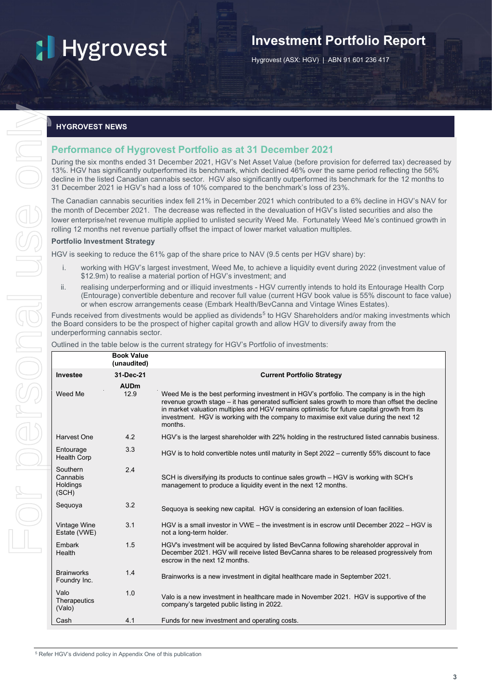## **Investment Portfolio Report**

Hygrovest (ASX: HGV) | ABN 91 601 236 417

#### **HYGROVEST NEWS**

#### **Performance of Hygrovest Portfolio as at 31 December 2021**

#### **Portfolio Investment Strategy**

- i. working with HGV's largest investment, Weed Me, to achieve a liquidity event during 2022 (investment value of \$12.9m) to realise a material portion of HGV's investment; and
- <span id="page-4-0"></span>ii. realising underperforming and or illiquid investments - HGV currently intends to hold its Entourage Health Corp (Entourage) convertible debenture and recover full value (current HGV book value is 55% discount to face value) or when escrow arrangements cease (Embark Health/BevCanna and Vintage Wines Estates).

| <b>HYGROVEST NEWS</b>                                                                                                                                                                                                                                                                                                            |                                  |                                                                                                                                                                                                                                                                                                                                                                                                                                                                    |  |  |  |
|----------------------------------------------------------------------------------------------------------------------------------------------------------------------------------------------------------------------------------------------------------------------------------------------------------------------------------|----------------------------------|--------------------------------------------------------------------------------------------------------------------------------------------------------------------------------------------------------------------------------------------------------------------------------------------------------------------------------------------------------------------------------------------------------------------------------------------------------------------|--|--|--|
|                                                                                                                                                                                                                                                                                                                                  |                                  | <b>Performance of Hygrovest Portfolio as at 31 December 2021</b>                                                                                                                                                                                                                                                                                                                                                                                                   |  |  |  |
|                                                                                                                                                                                                                                                                                                                                  |                                  | During the six months ended 31 December 2021, HGV's Net Asset Value (before provision for deferred tax) decreased<br>13%. HGV has significantly outperformed its benchmark, which declined 46% over the same period reflecting the 56%<br>decline in the listed Canadian cannabis sector. HGV also significantly outperformed its benchmark for the 12 months to<br>31 December 2021 ie HGV's had a loss of 10% compared to the benchmark's loss of 23%.           |  |  |  |
|                                                                                                                                                                                                                                                                                                                                  |                                  | The Canadian cannabis securities index fell 21% in December 2021 which contributed to a 6% decline in HGV's NAV fo<br>the month of December 2021. The decrease was reflected in the devaluation of HGV's listed securities and also the<br>lower enterprise/net revenue multiple applied to unlisted security Weed Me. Fortunately Weed Me's continued growth ir<br>rolling 12 months net revenue partially offset the impact of lower market valuation multiples. |  |  |  |
| <b>Portfolio Investment Strategy</b>                                                                                                                                                                                                                                                                                             |                                  |                                                                                                                                                                                                                                                                                                                                                                                                                                                                    |  |  |  |
|                                                                                                                                                                                                                                                                                                                                  |                                  | HGV is seeking to reduce the 61% gap of the share price to NAV (9.5 cents per HGV share) by:                                                                                                                                                                                                                                                                                                                                                                       |  |  |  |
| i.                                                                                                                                                                                                                                                                                                                               |                                  | working with HGV's largest investment, Weed Me, to achieve a liquidity event during 2022 (investment value of<br>\$12.9m) to realise a material portion of HGV's investment; and                                                                                                                                                                                                                                                                                   |  |  |  |
| ii.<br>realising underperforming and or illiquid investments - HGV currently intends to hold its Entourage Health Corp<br>(Entourage) convertible debenture and recover full value (current HGV book value is 55% discount to face valu<br>or when escrow arrangements cease (Embark Health/BevCanna and Vintage Wines Estates). |                                  |                                                                                                                                                                                                                                                                                                                                                                                                                                                                    |  |  |  |
| underperforming cannabis sector.                                                                                                                                                                                                                                                                                                 |                                  | Funds received from divestments would be applied as dividends <sup>5</sup> to HGV Shareholders and/or making investments whio<br>the Board considers to be the prospect of higher capital growth and allow HGV to diversify away from the                                                                                                                                                                                                                          |  |  |  |
|                                                                                                                                                                                                                                                                                                                                  |                                  | Outlined in the table below is the current strategy for HGV's Portfolio of investments:                                                                                                                                                                                                                                                                                                                                                                            |  |  |  |
|                                                                                                                                                                                                                                                                                                                                  | <b>Book Value</b><br>(unaudited) |                                                                                                                                                                                                                                                                                                                                                                                                                                                                    |  |  |  |
| Investee                                                                                                                                                                                                                                                                                                                         | 31-Dec-21                        | <b>Current Portfolio Strategy</b>                                                                                                                                                                                                                                                                                                                                                                                                                                  |  |  |  |
|                                                                                                                                                                                                                                                                                                                                  | <b>AUDm</b>                      |                                                                                                                                                                                                                                                                                                                                                                                                                                                                    |  |  |  |
| Weed Me                                                                                                                                                                                                                                                                                                                          | 12.9                             | Weed Me is the best performing investment in HGV's portfolio. The company is in the high<br>revenue growth stage – it has generated sufficient sales growth to more than offset the decline<br>in market valuation multiples and HGV remains optimistic for future capital growth from its                                                                                                                                                                         |  |  |  |
|                                                                                                                                                                                                                                                                                                                                  |                                  | investment. HGV is working with the company to maximise exit value during the next 12<br>months.                                                                                                                                                                                                                                                                                                                                                                   |  |  |  |
| Harvest One                                                                                                                                                                                                                                                                                                                      | 4.2                              | HGV's is the largest shareholder with 22% holding in the restructured listed cannabis business.                                                                                                                                                                                                                                                                                                                                                                    |  |  |  |
| Entourage<br>Health Corp                                                                                                                                                                                                                                                                                                         | 3.3                              | HGV is to hold convertible notes until maturity in Sept 2022 - currently 55% discount to face                                                                                                                                                                                                                                                                                                                                                                      |  |  |  |
| Southern<br>Cannabis<br>Holdings<br>(SCH)                                                                                                                                                                                                                                                                                        | 2.4                              | SCH is diversifying its products to continue sales growth - HGV is working with SCH's<br>management to produce a liquidity event in the next 12 months.                                                                                                                                                                                                                                                                                                            |  |  |  |
| Sequoya                                                                                                                                                                                                                                                                                                                          | 3.2                              | Sequoya is seeking new capital. HGV is considering an extension of loan facilities.                                                                                                                                                                                                                                                                                                                                                                                |  |  |  |
| Vintage Wine<br>Estate (VWE)                                                                                                                                                                                                                                                                                                     | 3.1                              | HGV is a small investor in VWE – the investment is in escrow until December 2022 – HGV is<br>not a long-term holder.                                                                                                                                                                                                                                                                                                                                               |  |  |  |
| Embark<br>Health                                                                                                                                                                                                                                                                                                                 | 1.5                              | HGV's investment will be acquired by listed BevCanna following shareholder approval in<br>December 2021. HGV will receive listed BevCanna shares to be released progressively from<br>escrow in the next 12 months.                                                                                                                                                                                                                                                |  |  |  |
| <b>Brainworks</b><br>Foundry Inc.                                                                                                                                                                                                                                                                                                | 1.4                              | Brainworks is a new investment in digital healthcare made in September 2021.                                                                                                                                                                                                                                                                                                                                                                                       |  |  |  |
| Valo<br>Therapeutics<br>(Valo)                                                                                                                                                                                                                                                                                                   | 1.0                              | Valo is a new investment in healthcare made in November 2021. HGV is supportive of the<br>company's targeted public listing in 2022.                                                                                                                                                                                                                                                                                                                               |  |  |  |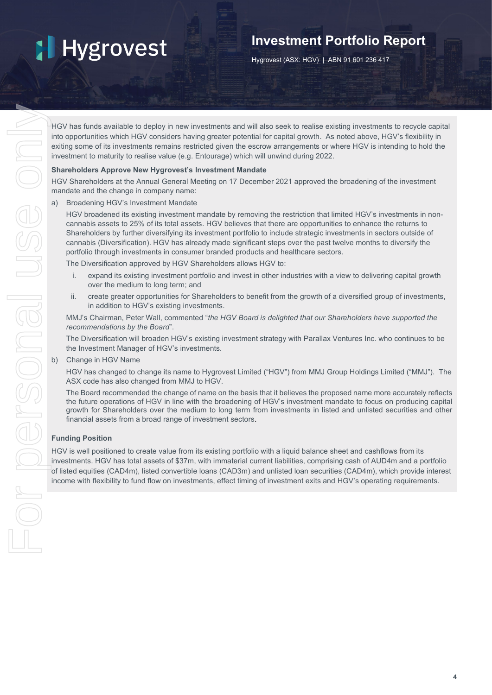## **Investment Portfolio Report**

Hygrovest (ASX: HGV) | ABN 91 601 236 417

HGV has funds available to deploy in new investments and will also seek to realise existing investments to recycle capital into opportunities which HGV considers having greater potential for capital growth. As noted above, HGV's flexibility in exiting some of its investments remains restricted given the escrow arrangements or where HGV is intending to hold the investment to maturity to realise value (e.g. Entourage) which will unwind during 2022.

#### **Shareholders Approve New Hygrovest's Investment Mandate**

HGV Shareholders at the Annual General Meeting on 17 December 2021 approved the broadening of the investment mandate and the change in company name:

a) Broadening HGV's Investment Mandate

HGV broadened its existing investment mandate by removing the restriction that limited HGV's investments in noncannabis assets to 25% of its total assets. HGV believes that there are opportunities to enhance the returns to Shareholders by further diversifying its investment portfolio to include strategic investments in sectors outside of cannabis (Diversification). HGV has already made significant steps over the past twelve months to diversify the portfolio through investments in consumer branded products and healthcare sectors.

The Diversification approved by HGV Shareholders allows HGV to:

- i. expand its existing investment portfolio and invest in other industries with a view to delivering capital growth over the medium to long term; and
- ii. create greater opportunities for Shareholders to benefit from the growth of a diversified group of investments, in addition to HGV's existing investments.

MMJ's Chairman, Peter Wall, commented "*the HGV Board is delighted that our Shareholders have supported the recommendations by the Board*".

The Diversification will broaden HGV's existing investment strategy with Parallax Ventures Inc. who continues to be the Investment Manager of HGV's investments.

b) Change in HGV Name

HGV has changed to change its name to Hygrovest Limited ("HGV") from MMJ Group Holdings Limited ("MMJ"). The ASX code has also changed from MMJ to HGV.

The Board recommended the change of name on the basis that it believes the proposed name more accurately reflects the future operations of HGV in line with the broadening of HGV's investment mandate to focus on producing capital growth for Shareholders over the medium to long term from investments in listed and unlisted securities and other financial assets from a broad range of investment sectors.

#### **Funding Position**

HGV is well positioned to create value from its existing portfolio with a liquid balance sheet and cashflows from its investments. HGV has total assets of \$37m, with immaterial current liabilities, comprising cash of AUD4m and a portfolio of listed equities (CAD4m), listed convertible loans (CAD3m) and unlisted loan securities (CAD4m), which provide interest income with flexibility to fund flow on investments, effect timing of investment exits and HGV's operating requirements.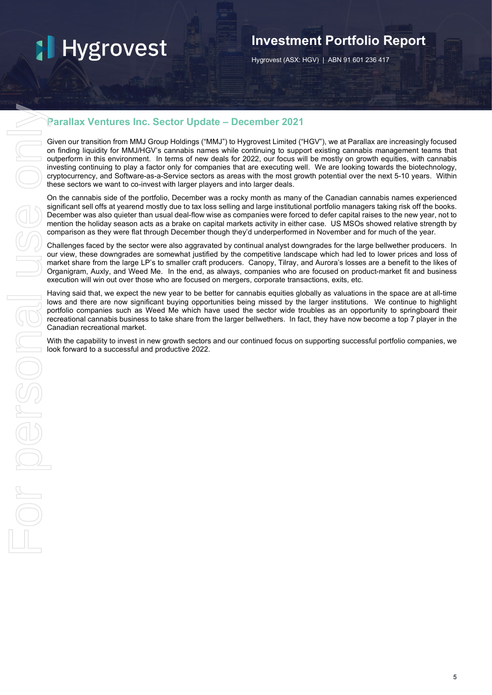## **Investment Portfolio Report**

Hygrovest (ASX: HGV) | ABN 91 601 236 417

### **Parallax Ventures Inc. Sector Update – December 2021**

Given our transition from MMJ Group Holdings ("MMJ") to Hygrovest Limited ("HGV"), we at Parallax are increasingly focused on finding liquidity for MMJ/HGV's cannabis names while continuing to support existing cannabis management teams that outperform in this environment. In terms of new deals for 2022, our focus will be mostly on growth equities, with cannabis investing continuing to play a factor only for companies that are executing well. We are looking towards the biotechnology, cryptocurrency, and Software-as-a-Service sectors as areas with the most growth potential over the next 5-10 years. Within these sectors we want to co-invest with larger players and into larger deals.

On the cannabis side of the portfolio, December was a rocky month as many of the Canadian cannabis names experienced significant sell offs at yearend mostly due to tax loss selling and large institutional portfolio managers taking risk off the books. December was also quieter than usual deal-flow wise as companies were forced to defer capital raises to the new year, not to mention the holiday season acts as a brake on capital markets activity in either case. US MSOs showed relative strength by comparison as they were flat through December though they'd underperformed in November and for much of the year.

Challenges faced by the sector were also aggravated by continual analyst downgrades for the large bellwether producers. In our view, these downgrades are somewhat justified by the competitive landscape which had led to lower prices and loss of market share from the large LP's to smaller craft producers. Canopy, Tilray, and Aurora's losses are a benefit to the likes of Organigram, Auxly, and Weed Me. In the end, as always, companies who are focused on product-market fit and business execution will win out over those who are focused on mergers, corporate transactions, exits, etc.

Having said that, we expect the new year to be better for cannabis equities globally as valuations in the space are at all-time lows and there are now significant buying opportunities being missed by the larger institutions. We continue to highlight portfolio companies such as Weed Me which have used the sector wide troubles as an opportunity to springboard their recreational cannabis business to take share from the larger bellwethers. In fact, they have now become a top 7 player in the Canadian recreational market.

With the capability to invest in new growth sectors and our continued focus on supporting successful portfolio companies, we look forward to a successful and productive 2022.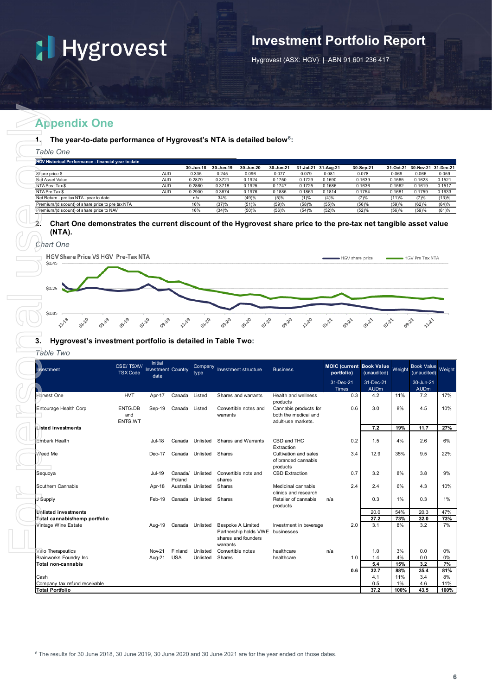### **Investment Portfolio Report**

Hygrovest (ASX: HGV) | ABN 91 601 236 417

### **Appendix One**

| <b>HGV Historical Performance - financial year to date</b> |            |           |           |           |           |           |           |           |           |        |                     |
|------------------------------------------------------------|------------|-----------|-----------|-----------|-----------|-----------|-----------|-----------|-----------|--------|---------------------|
|                                                            |            | 30-Jun-18 | 30-Jun-19 | 30-Jun-20 | 30-Jun-21 | 31-Jul-21 | 31-Aug-21 | 30-Sep-21 | 31-Oct-21 |        | 30-Nov-21 31-Dec-21 |
| Share price \$                                             | <b>AUD</b> | 0.335     | 0.245     | 0.096     | 0.077     | 0.079     | 0.081     | 0.078     | 0.069     | 0.066  | 0.059               |
| Net Asset Value                                            | <b>AUD</b> | 0.2879    | 0.3721    | 0.1924    | 0.1750    | 0.1729    | 0.1690    | 0.1639    | 0.1565    | 0.1623 | 0.1521              |
| NTA Post Tax \$                                            | <b>AUD</b> | 0.2860    | 0.3718    | 0.1925    | 0.1747    | 0.1725    | 0.1686    | 0.1636    | 0.1562    | 0.1619 | 0.1517              |
| NTA Pre Tax \$                                             | <b>AUD</b> | 0.2900    | 0.3874    | 0.1976    | 0.1885    | 0.1863    | 0.1814    | 0.1754    | 0.1681    | 0.1759 | 0.1633              |
| Net Return - pre tax NTA - year to date                    |            | n/a       | 34%       | (49)%     | (5)%      | (1)%      | (4)%      | (7)%      | (11)%     | (7)%   | (13)%               |
| Premium/(discount) of share price to pre tax NTA           |            | 16%       | (37)%     | (51)%     | (59)%     | (58)%     | (55)%     | (56)%     | (59)%     | (62)%  | (64)%               |
| Premium/(discount) of share price to NAV                   |            | 16%       | (34)%     | (50)%     | (56)%     | (54)%     | (52)%     | (52)%     | (56)%     | (59)%  | (61)%               |

#### **2. Chart One demonstrates the current discount of the Hygrovest share price to the pre-tax net tangible asset value (NTA).**



#### **3. Hygrovest's investment portfolio is detailed in Table Two:**

| Table One                                                                                                                                            |                              |                                      |                        |                  |                                                                                     |       |                                              |                  |                     |                 |                                                |                                  |                                  |
|------------------------------------------------------------------------------------------------------------------------------------------------------|------------------------------|--------------------------------------|------------------------|------------------|-------------------------------------------------------------------------------------|-------|----------------------------------------------|------------------|---------------------|-----------------|------------------------------------------------|----------------------------------|----------------------------------|
| HGV Historical Performance - financial year to date                                                                                                  |                              |                                      |                        | 30-Jun-18        | 30-Jun-19<br>30-Jun-20                                                              |       | 30-Jun-21                                    |                  | 31-Jul-21 31-Aug-21 |                 | 30-Sep-21                                      |                                  | 31-Oct-21 30-Nov-21 31-Dec-21    |
| Share price \$                                                                                                                                       |                              | <b>AUD</b>                           |                        | 0.335            | 0.245<br>0.096                                                                      |       | 0.077                                        | 0.079            | 0.081               |                 | 0.078                                          | 0.069                            | 0.066                            |
| Net Asset Value<br>NTA Post Tax \$                                                                                                                   |                              | <b>AUD</b><br><b>AUD</b>             |                        | 0.2879<br>0.2860 | 0.3721<br>0.1924<br>0.3718<br>0.1925                                                |       | 0.1750<br>0.1747                             | 0.1729<br>0.1725 | 0.1690<br>0.1686    |                 | 0.1639<br>0.1636                               | 0.1565<br>0.1562                 | 0.1623<br>0.1619                 |
| NTA Pre Tax\$                                                                                                                                        |                              | <b>AUD</b>                           |                        | 0.2900           | 0.3874<br>0.1976                                                                    |       | 0.1885                                       | 0.1863           | 0.1814              |                 | 0.1754                                         | 0.1681                           | 0.1759                           |
| Net Return - pre tax NTA - year to date                                                                                                              |                              |                                      |                        | n/a<br>16%       | 34%<br>(49)%                                                                        |       | (5)%                                         | (1)%             | (4)%                |                 | (7)%                                           | (11)%                            | (7)%                             |
| Premium/(discount) of share price to pre tax NTA<br>Premium/(discount) of share price to NAV                                                         |                              |                                      |                        | 16%              | (37)%<br>(51)%<br>(34)%<br>(50)%                                                    |       | (59)%<br>(56)%                               | (58)%<br>(54)%   | (55)%<br>(52)%      |                 | (56)%<br>(52)%                                 | (59)%<br>(56)%                   | (62)%<br>(59)%                   |
| 2.<br>Chart One demonstrates the current discount of the Hygrovest share price to the pre-tax net tangible asset value<br>(NTA).<br><b>Chart One</b> |                              |                                      |                        |                  |                                                                                     |       |                                              |                  |                     |                 |                                                |                                  |                                  |
| <b>HGV Share Price VS HGV Pre-Tax NTA</b><br>\$0.45<br>\$0.25                                                                                        |                              |                                      |                        |                  |                                                                                     |       |                                              |                  |                     | HGV share price |                                                |                                  | ■ HGV Pre Tax NTA                |
| \$0.05<br><b>11-18</b><br>01-19<br>03-19<br>3.<br>Hygrovest's investment portfolio is detailed in Table Two:                                         | 07.29                        | <b>BILA</b>                          |                        | 01.20            | 0520<br>03-20                                                                       | 07.20 | <b>B20</b>                                   | <b>1220</b>      | 01-21               | $\sigma^{3}$    | OS-21<br>0121                                  | $\mathcal{S}^{\lambda^{\prime}}$ | $\rightsquigarrow^{2^{2}}$       |
|                                                                                                                                                      |                              |                                      |                        |                  |                                                                                     |       |                                              |                  |                     |                 |                                                |                                  |                                  |
| Table Two<br>Investment                                                                                                                              | CSE/TSXV/<br><b>TSX Code</b> | Initial<br><b>Investment Country</b> |                        | Company<br>type  | Investment structure                                                                |       | <b>Business</b>                              |                  | portfolio)          |                 | <b>MOIC (current Book Value</b><br>(unaudited) | Weight                           | <b>Book Value</b><br>(unaudited) |
|                                                                                                                                                      |                              | date                                 |                        |                  |                                                                                     |       |                                              |                  | 31-Dec-21           |                 | 31-Dec-21                                      |                                  | 30-Jun-21                        |
|                                                                                                                                                      |                              |                                      |                        |                  |                                                                                     |       |                                              |                  | <b>Times</b>        |                 | <b>AUDm</b>                                    |                                  | <b>AUDm</b>                      |
| Harvest One                                                                                                                                          | <b>HVT</b>                   | Apr-17                               | Canada                 | Listed           | Shares and warrants                                                                 |       | Health and wellness<br>products              |                  |                     | 0.3             | 4.2                                            | 11%                              | 7.2                              |
| Entourage Health Corp                                                                                                                                | ENTG.DB                      | Sep-19                               | Canada Listed          |                  | Convertible notes and                                                               |       | Cannabis products for                        |                  |                     | 0.6             | 3.0                                            | 8%                               | 4.5                              |
|                                                                                                                                                      | and<br>ENTG.WT               |                                      |                        |                  | warrants                                                                            |       | both the medical and<br>adult-use markets.   |                  |                     |                 |                                                |                                  |                                  |
| Listed investments                                                                                                                                   |                              |                                      |                        |                  |                                                                                     |       |                                              |                  |                     |                 | 7.2                                            | 19%                              | 11.7                             |
|                                                                                                                                                      |                              |                                      |                        |                  |                                                                                     |       |                                              |                  |                     |                 |                                                |                                  |                                  |
| Embark Health                                                                                                                                        |                              | Jul-18                               | Canada                 | Unlisted         | Shares and Warrants                                                                 |       | CBD and THC<br>Extraction                    |                  |                     | 0.2             | 1.5                                            | 4%                               | 2.6                              |
| Weed Me                                                                                                                                              |                              | Dec-17                               | Canada Unlisted Shares |                  |                                                                                     |       | Cultivation and sales<br>of branded cannabis |                  |                     | 3.4             | 12.9                                           | 35%                              | 9.5                              |
|                                                                                                                                                      |                              |                                      |                        |                  |                                                                                     |       | products                                     |                  |                     |                 |                                                |                                  |                                  |
| Seguoya                                                                                                                                              |                              | Jul-19                               | Poland                 |                  | Canada/ Unlisted Convertible note and<br>shares                                     |       | <b>CBD Extraction</b>                        |                  |                     | 0.7             | 3.2                                            | 8%                               | 3.8                              |
| Southern Cannabis                                                                                                                                    |                              | Apr-18                               | Australia Unlisted     |                  | Shares                                                                              |       | Medicinal cannabis                           |                  |                     | 2.4             | 2.4                                            | 6%                               | 4.3                              |
| J Supply                                                                                                                                             |                              | Feb-19                               | Canada Unlisted Shares |                  |                                                                                     |       | clinics and research<br>Retailer of cannabis |                  | n/a                 |                 | 0.3                                            | 1%                               | 0.3                              |
|                                                                                                                                                      |                              |                                      |                        |                  |                                                                                     |       | products                                     |                  |                     |                 |                                                |                                  |                                  |
| Unlisted investments<br>Total cannabis/hemp portfolio                                                                                                |                              |                                      |                        |                  |                                                                                     |       |                                              |                  |                     |                 | 20.0<br>27.2                                   | 54%<br>73%                       | 20.3<br>32.0                     |
| Vintage Wine Estate                                                                                                                                  |                              | Aug-19                               | Canada Unlisted        |                  | <b>Bespoke A Limited</b><br>Partnership holds VWE businesses<br>shares and founders |       | Investment in beverage                       |                  |                     | 2.0             | 3.1                                            | 8%                               | 3.2                              |
| Valo Therapeutics                                                                                                                                    |                              | Nov-21                               | Finland                | Unlisted         | warrants<br>Convertible notes                                                       |       | healthcare                                   |                  | n/a                 |                 | 1.0                                            | 3%                               | 0.0                              |
| Brainworks Foundry Inc.                                                                                                                              |                              | Aug-21                               | <b>USA</b>             | Unlisted         | Shares                                                                              |       | healthcare                                   |                  |                     | 1.0             | 1.4                                            | 4%                               | 0.0                              |
| Total non-cannabis                                                                                                                                   |                              |                                      |                        |                  |                                                                                     |       |                                              |                  |                     | 0.6             | 5.4<br>32.7                                    | 15%<br>88%                       | 3.2<br>35.4                      |
| Cash<br>Company tax refund receivable                                                                                                                |                              |                                      |                        |                  |                                                                                     |       |                                              |                  |                     |                 | 4.1<br>0.5                                     | 11%<br>1%                        | 3.4<br>4.6                       |

<span id="page-7-0"></span><sup>6</sup> The results for 30 June 2018, 30 June 2019, 30 June 2020 and 30 June 2021 are for the year ended on those dates.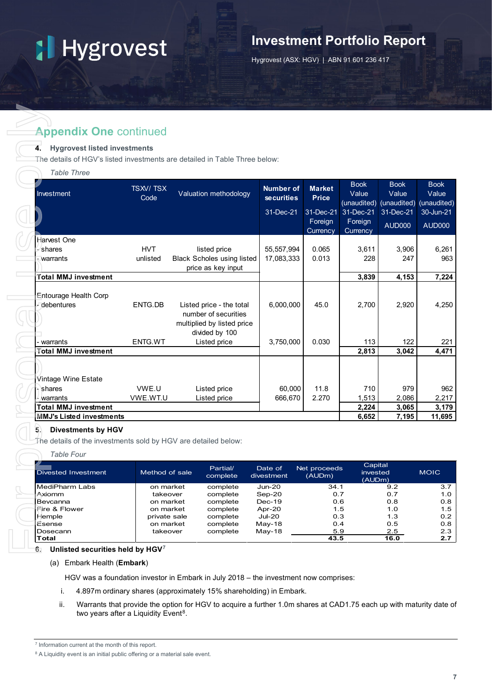## **Investment Portfolio Report**

Hygrovest (ASX: HGV) | ABN 91 601 236 417

### **Appendix One continued**

#### **4. Hygrovest listed investments**

| <b>Appendix One continued</b>                                                                                                        |                           |                                   |                                       |                                     |                               |                                                 |                                     |
|--------------------------------------------------------------------------------------------------------------------------------------|---------------------------|-----------------------------------|---------------------------------------|-------------------------------------|-------------------------------|-------------------------------------------------|-------------------------------------|
| <b>Hygrovest listed investments</b><br>4.<br>The details of HGV's listed investments are detailed in Table Three below:              |                           |                                   |                                       |                                     |                               |                                                 |                                     |
| <b>Table Three</b>                                                                                                                   |                           |                                   |                                       |                                     |                               |                                                 |                                     |
| Investment                                                                                                                           | <b>TSXV/TSX</b><br>Code   | Valuation methodology             | <b>Number of</b><br><b>securities</b> | <b>Market</b><br><b>Price</b>       | <b>Book</b><br>Value          | <b>Book</b><br>Value<br>(unaudited) (unaudited) | <b>Book</b><br>Value<br>(unaudited) |
|                                                                                                                                      |                           |                                   | 31-Dec-21                             | 31-Dec-21<br>Foreign                | 31-Dec-21<br>Foreign          | 31-Dec-21<br><b>AUD000</b>                      | 30-Jun-21<br><b>AUD000</b>          |
|                                                                                                                                      |                           |                                   |                                       | Currency                            | Currency                      |                                                 |                                     |
| Harvest One                                                                                                                          |                           |                                   |                                       |                                     |                               |                                                 |                                     |
| -⁄shares                                                                                                                             | <b>HVT</b>                | listed price                      | 55,557,994                            | 0.065                               | 3,611                         | 3,906                                           | 6,261                               |
| warrants                                                                                                                             | unlisted                  | <b>Black Scholes using listed</b> | 17,083,333                            | 0.013                               | 228                           | 247                                             | 963                                 |
| <b>Total MMJ investment</b>                                                                                                          |                           | price as key input                |                                       |                                     | 3,839                         | 4,153                                           | 7,224                               |
|                                                                                                                                      |                           |                                   |                                       |                                     |                               |                                                 |                                     |
| Entourage Health Corp                                                                                                                |                           |                                   |                                       |                                     |                               |                                                 |                                     |
| - debentures                                                                                                                         | ENTG.DB                   | Listed price - the total          | 6,000,000                             | 45.0                                | 2,700                         | 2,920                                           | 4,250                               |
|                                                                                                                                      |                           | number of securities              |                                       |                                     |                               |                                                 |                                     |
|                                                                                                                                      |                           | multiplied by listed price        |                                       |                                     |                               |                                                 |                                     |
|                                                                                                                                      |                           | divided by 100                    |                                       |                                     |                               |                                                 |                                     |
| warrants                                                                                                                             | ENTG.WT                   | Listed price                      | 3,750,000                             | 0.030                               | 113                           | 122                                             | 221                                 |
| <b>Total MMJ investment</b>                                                                                                          |                           |                                   |                                       |                                     | 2,813                         | 3,042                                           | 4,471                               |
|                                                                                                                                      |                           |                                   |                                       |                                     |                               |                                                 |                                     |
|                                                                                                                                      |                           |                                   |                                       |                                     |                               |                                                 |                                     |
| Vintage Wine Estate<br>shares                                                                                                        | VWE.U                     |                                   | 60,000                                | 11.8                                | 710                           | 979                                             | 962                                 |
| warrants                                                                                                                             | VWE.WT.U                  | Listed price<br>Listed price      | 666,670                               | 2.270                               | 1,513                         | 2,086                                           | 2,217                               |
| <b>Total MMJ investment</b>                                                                                                          |                           |                                   |                                       |                                     | 2,224                         | 3,065                                           | 3,179                               |
|                                                                                                                                      |                           |                                   |                                       |                                     |                               |                                                 | 11,695                              |
| <b>MMJ's Listed investments</b><br><b>Divestments by HGV</b><br>5.<br>The details of the investments sold by HGV are detailed below: |                           |                                   |                                       |                                     | 6,652                         | 7,195                                           |                                     |
| <b>Table Four</b>                                                                                                                    |                           |                                   |                                       |                                     |                               |                                                 |                                     |
| <b>Divested Investment</b>                                                                                                           | Method of sale            | Partial/<br>complete              | Date of<br>divestment                 | Net proceeds<br>$\overline{(AUDm)}$ | Capital<br>invested<br>(AUDm) |                                                 | <b>MOIC</b>                         |
| MediPharm Labs                                                                                                                       | on market                 | complete                          | $Jun-20$                              | 34.1                                |                               | 9.2                                             | 3.7                                 |
|                                                                                                                                      | takeover                  | complete                          | Sep-20                                | 0.7                                 |                               | 0.7                                             | 1.0                                 |
| Axiomm                                                                                                                               |                           | complete                          | $Dec-19$                              | 0.6                                 | 1.5                           | 0.8                                             | 0.8<br>1.5                          |
| Bevcanna                                                                                                                             | on market                 |                                   |                                       |                                     |                               |                                                 |                                     |
| Fire & Flower<br>Hemple                                                                                                              | on market<br>private sale | complete<br>complete              | Apr-20<br><b>Jul-20</b>               | 0.3                                 |                               | 1.0<br>1.3                                      | 0.2                                 |
| Esense<br>Dosecann                                                                                                                   | on market                 | complete                          | May-18                                | 0.4<br>5.9                          |                               | 0.5<br>2.5                                      | 0.8<br>2.3                          |

#### **5. Divestments by HGV**

#### *Table Four*

| Divested Investment | Method of sale | Partial/<br>complete | Date of<br>divestment | Net proceeds<br>(AUDm) | Capital<br>invested<br>(AUDm) | <b>MOIC</b> |
|---------------------|----------------|----------------------|-----------------------|------------------------|-------------------------------|-------------|
| MediPharm Labs      | on market      | complete             | Jun-20                | 34.1                   | 9.2                           | 3.7         |
| Axiomm              | takeover       | complete             | $Sep-20$              | 0.7                    | 0.7                           | 1.0         |
| Bevcanna            | on market      | complete             | $Dec-19$              | 0.6                    | 0.8                           | 0.8         |
| Fire & Flower       | on market      | complete             | Apr-20                | 1.5                    | 1.0                           | 1.5         |
| Hemple              | private sale   | complete             | $Jul-20$              | 0.3                    | 1.3                           | 0.2         |
| Esense              | on market      | complete             | $May-18$              | 0.4                    | 0.5                           | 0.8         |
| Dosecann            | takeover       | complete             | $May-18$              | 5.9                    | 2.5                           | 2.3         |
| <b>Total</b>        |                |                      |                       | 43.5                   | 16.0                          | 2.7         |

#### (a) Embark Health (**Embark**)

HGV was a foundation investor in Embark in July 2018 – the investment now comprises:

- i. 4.897m ordinary shares (approximately 15% shareholding) in Embark.
- ii. Warrants that provide the option for HGV to acquire a further 1.0m shares at CAD1.75 each up with maturity date of two years after a Liquidity Event<sup>[8](#page-8-1)</sup>.

<span id="page-8-0"></span><sup>7</sup> Information current at the month of this report.

<span id="page-8-1"></span><sup>&</sup>lt;sup>8</sup> A Liquidity event is an initial public offering or a material sale event.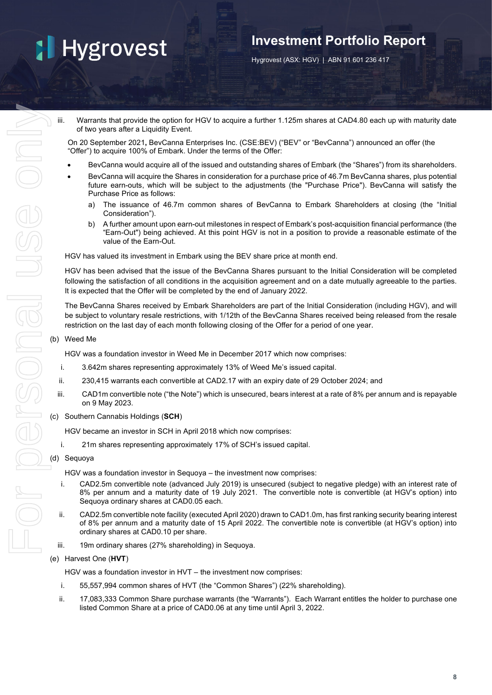### **Investment Portfolio Report**

Hygrovest (ASX: HGV) | ABN 91 601 236 417

iii. Warrants that provide the option for HGV to acquire a further 1.125m shares at CAD4.80 each up with maturity date of two years after a Liquidity Event.

On 20 September 2021**,** BevCanna Enterprises Inc. (CSE:BEV) ("BEV" or "BevCanna") announced an offer (the "Offer") to acquire 100% of Embark. Under the terms of the Offer:

- BevCanna would acquire all of the issued and outstanding shares of Embark (the "Shares") from its shareholders.
- BevCanna will acquire the Shares in consideration for a purchase price of 46.7m BevCanna shares, plus potential future earn-outs, which will be subject to the adjustments (the "Purchase Price"). BevCanna will satisfy the Purchase Price as follows:
	- a) The issuance of 46.7m common shares of BevCanna to Embark Shareholders at closing (the "Initial Consideration").
	- b) A further amount upon earn-out milestones in respect of Embark's post-acquisition financial performance (the "Earn-Out") being achieved. At this point HGV is not in a position to provide a reasonable estimate of the value of the Earn-Out.

HGV has valued its investment in Embark using the BEV share price at month end.

HGV has been advised that the issue of the BevCanna Shares pursuant to the Initial Consideration will be completed following the satisfaction of all conditions in the acquisition agreement and on a date mutually agreeable to the parties. It is expected that the Offer will be completed by the end of January 2022.

The BevCanna Shares received by Embark Shareholders are part of the Initial Consideration (including HGV), and will be subject to voluntary resale restrictions, with 1/12th of the BevCanna Shares received being released from the resale restriction on the last day of each month following closing of the Offer for a period of one year.

#### (b) Weed Me

HGV was a foundation investor in Weed Me in December 2017 which now comprises:

- i. 3.642m shares representing approximately 13% of Weed Me's issued capital.
- ii. 230,415 warrants each convertible at CAD2.17 with an expiry date of 29 October 2024; and
- iii. CAD1m convertible note ("the Note") which is unsecured, bears interest at a rate of 8% per annum and is repayable on 9 May 2023.
- (c) Southern Cannabis Holdings (**SCH**)

HGV became an investor in SCH in April 2018 which now comprises:

i. 21m shares representing approximately 17% of SCH's issued capital.

#### (d) Sequoya

HGV was a foundation investor in Sequoya – the investment now comprises:

- i. CAD2.5m convertible note (advanced July 2019) is unsecured (subject to negative pledge) with an interest rate of 8% per annum and a maturity date of 19 July 2021. The convertible note is convertible (at HGV's option) into Sequoya ordinary shares at CAD0.05 each.
- ii. CAD2.5m convertible note facility (executed April 2020) drawn to CAD1.0m, has first ranking security bearing interest of 8% per annum and a maturity date of 15 April 2022. The convertible note is convertible (at HGV's option) into ordinary shares at CAD0.10 per share.
- iii. 19m ordinary shares (27% shareholding) in Sequoya.
- (e) Harvest One (**HVT**)

HGV was a foundation investor in HVT – the investment now comprises:

- i. 55,557,994 common shares of HVT (the "Common Shares") (22% shareholding).
- ii. 17,083,333 Common Share purchase warrants (the "Warrants"). Each Warrant entitles the holder to purchase one listed Common Share at a price of CAD0.06 at any time until April 3, 2022.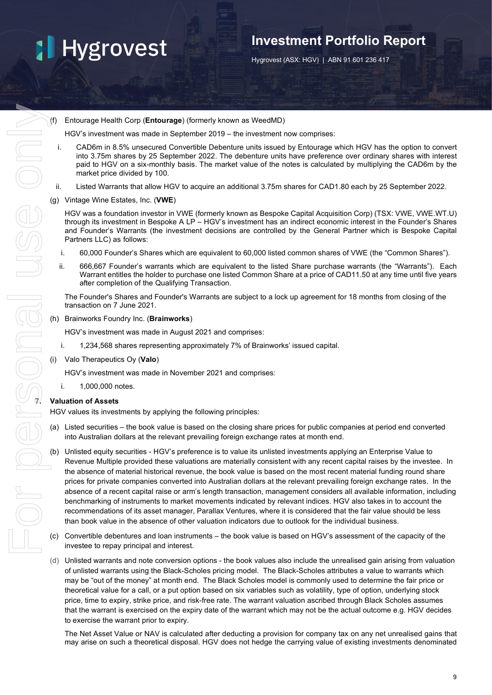## **Investment Portfolio Report**

Hygrovest (ASX: HGV) | ABN 91 601 236 417

(f) Entourage Health Corp (**Entourage**) (formerly known as WeedMD)

HGV's investment was made in September 2019 – the investment now comprises:

- i. CAD6m in 8.5% unsecured Convertible Debenture units issued by Entourage which HGV has the option to convert into 3.75m shares by 25 September 2022. The debenture units have preference over ordinary shares with interest paid to HGV on a six-monthly basis. The market value of the notes is calculated by multiplying the CAD6m by the market price divided by 100.
- ii. Listed Warrants that allow HGV to acquire an additional 3.75m shares for CAD1.80 each by 25 September 2022.
- (g) Vintage Wine Estates, Inc. (**VWE**)

HGV was a foundation investor in VWE (formerly known as Bespoke Capital Acquisition Corp) (TSX: VWE, VWE.WT.U) through its investment in Bespoke A LP – HGV's investment has an indirect economic interest in the Founder's Shares and Founder's Warrants (the investment decisions are controlled by the General Partner which is Bespoke Capital Partners LLC) as follows:

- i. 60,000 Founder's Shares which are equivalent to 60,000 listed common shares of VWE (the "Common Shares").
- ii. 666,667 Founder's warrants which are equivalent to the listed Share purchase warrants (the "Warrants"). Each Warrant entitles the holder to purchase one listed Common Share at a price of CAD11.50 at any time until five years after completion of the Qualifying Transaction.

The Founder's Shares and Founder's Warrants are subject to a lock up agreement for 18 months from closing of the transaction on 7 June 2021.

(h) Brainworks Foundry Inc. (**Brainworks**)

HGV's investment was made in August 2021 and comprises:

- i. 1,234,568 shares representing approximately 7% of Brainworks' issued capital.
- (i) Valo Therapeutics Oy (**Valo**)

HGV's investment was made in November 2021 and comprises:

i. 1,000,000 notes.

HGV values its investments by applying the following principles:

- (a) Listed securities the book value is based on the closing share prices for public companies at period end converted into Australian dollars at the relevant prevailing foreign exchange rates at month end.
- Unlisted equity securities HGV's preference is to value its unlisted investments applying an Enterprise Value to Revenue Multiple provided these valuations are materially consistent with any recent capital raises by the investee. In the absence of material historical revenue, the book value is based on the most recent material funding round share prices for private companies converted into Australian dollars at the relevant prevailing foreign exchange rates. In the absence of a recent capital raise or arm's length transaction, management considers all available information, including benchmarking of instruments to market movements indicated by relevant indices. HGV also takes in to account the recommendations of its asset manager, Parallax Ventures, where it is considered that the fair value should be less than book value in the absence of other valuation indicators due to outlook for the individual business.
- (c) Convertible debentures and loan instruments the book value is based on HGV's assessment of the capacity of the investee to repay principal and interest.
- (d) Unlisted warrants and note conversion options the book values also include the unrealised gain arising from valuation of unlisted warrants using the Black-Scholes pricing model. The Black-Scholes attributes a value to warrants which may be "out of the money" at month end. The Black Scholes model is commonly used to determine the fair price or theoretical value for a call, or a put option based on six variables such as volatility, type of option, underlying stock price, time to expiry, strike price, and risk-free rate. The warrant valuation ascribed through Black Scholes assumes that the warrant is exercised on the expiry date of the warrant which may not be the actual outcome e.g. HGV decides to exercise the warrant prior to expiry.

The Net Asset Value or NAV is calculated after deducting a provision for company tax on any net unrealised gains that may arise on such a theoretical disposal. HGV does not hedge the carrying value of existing investments denominated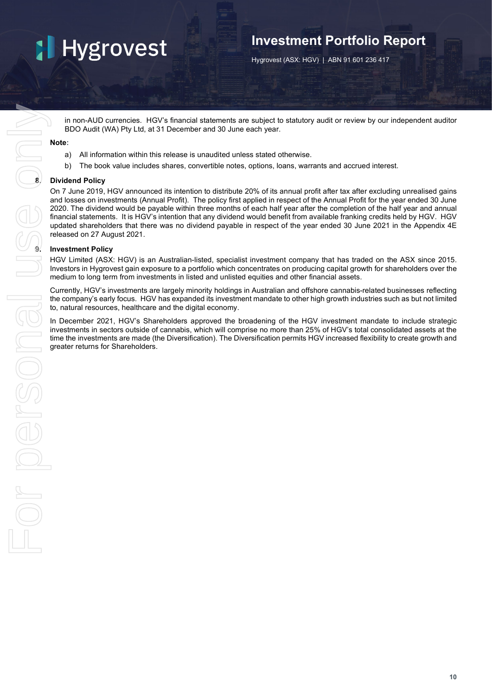## **Investment Portfolio Report**

Hygrovest (ASX: HGV) | ABN 91 601 236 417

in non-AUD currencies. HGV's financial statements are subject to statutory audit or review by our independent auditor BDO Audit (WA) Pty Ltd, at 31 December and 30 June each year.

#### **Note:**

- a) All information within this release is unaudited unless stated otherwise.
- b) The book value includes shares, convertible notes, options, loans, warrants and accrued interest.

#### **8. Dividend Policy**

On 7 June 2019, HGV announced its intention to distribute 20% of its annual profit after tax after excluding unrealised gains and losses on investments (Annual Profit). The policy first applied in respect of the Annual Profit for the year ended 30 June 2020. The dividend would be payable within three months of each half year after the completion of the half year and annual financial statements. It is HGV's intention that any dividend would benefit from available franking credits held by HGV. HGV updated shareholders that there was no dividend payable in respect of the year ended 30 June 2021 in the Appendix 4E released on 27 August 2021.

#### **9. Investment Policy**

HGV Limited (ASX: HGV) is an Australian-listed, specialist investment company that has traded on the ASX since 2015. Investors in Hygrovest gain exposure to a portfolio which concentrates on producing capital growth for shareholders over the medium to long term from investments in listed and unlisted equities and other financial assets.

Currently, HGV's investments are largely minority holdings in Australian and offshore cannabis-related businesses reflecting the company's early focus. HGV has expanded its investment mandate to other high growth industries such as but not limited to, natural resources, healthcare and the digital economy.

In December 2021, HGV's Shareholders approved the broadening of the HGV investment mandate to include strategic investments in sectors outside of cannabis, which will comprise no more than 25% of HGV's total consolidated assets at the time the investments are made (the Diversification). The Diversification permits HGV increased flexibility to create growth and